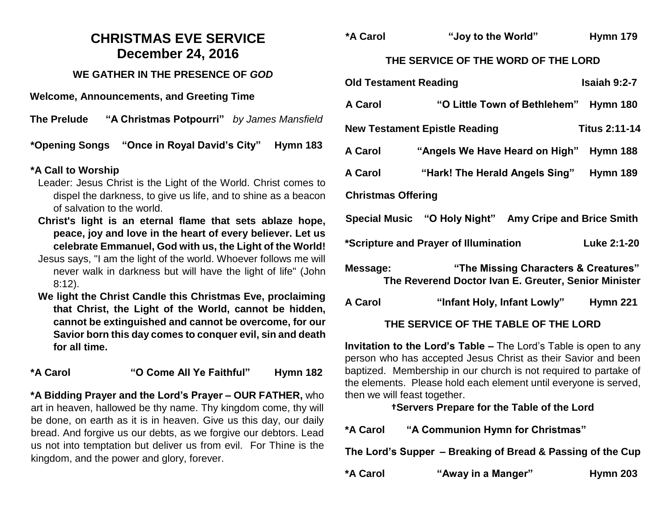### **CHRISTMAS EVE SERVICE December 24, 2016**

#### **WE GATHER IN THE PRESENCE OF** *GOD*

**Welcome, Announcements, and Greeting Time** 

**The Prelude "A Christmas Potpourri"** *by James Mansfield*

**\*Opening Songs "Once in Royal David's City" Hymn 183**

#### **\*A Call to Worship**

- Leader: Jesus Christ is the Light of the World. Christ comes to dispel the darkness, to give us life, and to shine as a beacon of salvation to the world.
- **Christ's light is an eternal flame that sets ablaze hope, peace, joy and love in the heart of every believer. Let us celebrate Emmanuel, God with us, the Light of the World!**
- Jesus says, "I am the light of the world. Whoever follows me will never walk in darkness but will have the light of life" (John 8:12).
- **We light the Christ Candle this Christmas Eve, proclaiming that Christ, the Light of the World, cannot be hidden, cannot be extinguished and cannot be overcome, for our Savior born this day comes to conquer evil, sin and death for all time.**

**\*A Carol "O Come All Ye Faithful" Hymn 182**

**\*A Bidding Prayer and the Lord's Prayer – OUR FATHER,** who art in heaven, hallowed be thy name. Thy kingdom come, thy will be done, on earth as it is in heaven. Give us this day, our daily bread. And forgive us our debts, as we forgive our debtors. Lead us not into temptation but deliver us from evil. For Thine is the kingdom, and the power and glory, forever.

| *A Carol                                                                                                 | "Joy to the World"                                     |                              | <b>Hymn 179</b> |  |
|----------------------------------------------------------------------------------------------------------|--------------------------------------------------------|------------------------------|-----------------|--|
| THE SERVICE OF THE WORD OF THE LORD                                                                      |                                                        |                              |                 |  |
| <b>Old Testament Reading</b>                                                                             |                                                        |                              | $Isaiah9:2-7$   |  |
| <b>A Carol</b>                                                                                           |                                                        | "O Little Town of Bethlehem" | Hymn 180        |  |
| <b>Titus 2:11-14</b><br><b>New Testament Epistle Reading</b>                                             |                                                        |                              |                 |  |
| <b>A Carol</b>                                                                                           | "Angels We Have Heard on High"                         |                              | <b>Hymn 188</b> |  |
| <b>A Carol</b>                                                                                           | "Hark! The Herald Angels Sing"                         |                              | <b>Hymn 189</b> |  |
| <b>Christmas Offering</b>                                                                                |                                                        |                              |                 |  |
|                                                                                                          | Special Music "O Holy Night" Amy Cripe and Brice Smith |                              |                 |  |
| *Scripture and Prayer of Illumination                                                                    |                                                        | Luke 2:1-20                  |                 |  |
| "The Missing Characters & Creatures"<br>Message:<br>The Reverend Doctor Ivan E. Greuter, Senior Minister |                                                        |                              |                 |  |
| <b>A Carol</b>                                                                                           | "Infant Holy, Infant Lowly"                            |                              | Hymn 221        |  |

#### **THE SERVICE OF THE TABLE OF THE LORD**

**Invitation to the Lord's Table –** The Lord's Table is open to any person who has accepted Jesus Christ as their Savior and been baptized. Membership in our church is not required to partake of the elements. Please hold each element until everyone is served, then we will feast together.

#### **†Servers Prepare for the Table of the Lord**

**\*A Carol "A Communion Hymn for Christmas"** 

**The Lord's Supper – Breaking of Bread & Passing of the Cup**

| *A Carol | "Away in a Manger" | <b>Hymn 203</b> |
|----------|--------------------|-----------------|
|          |                    |                 |